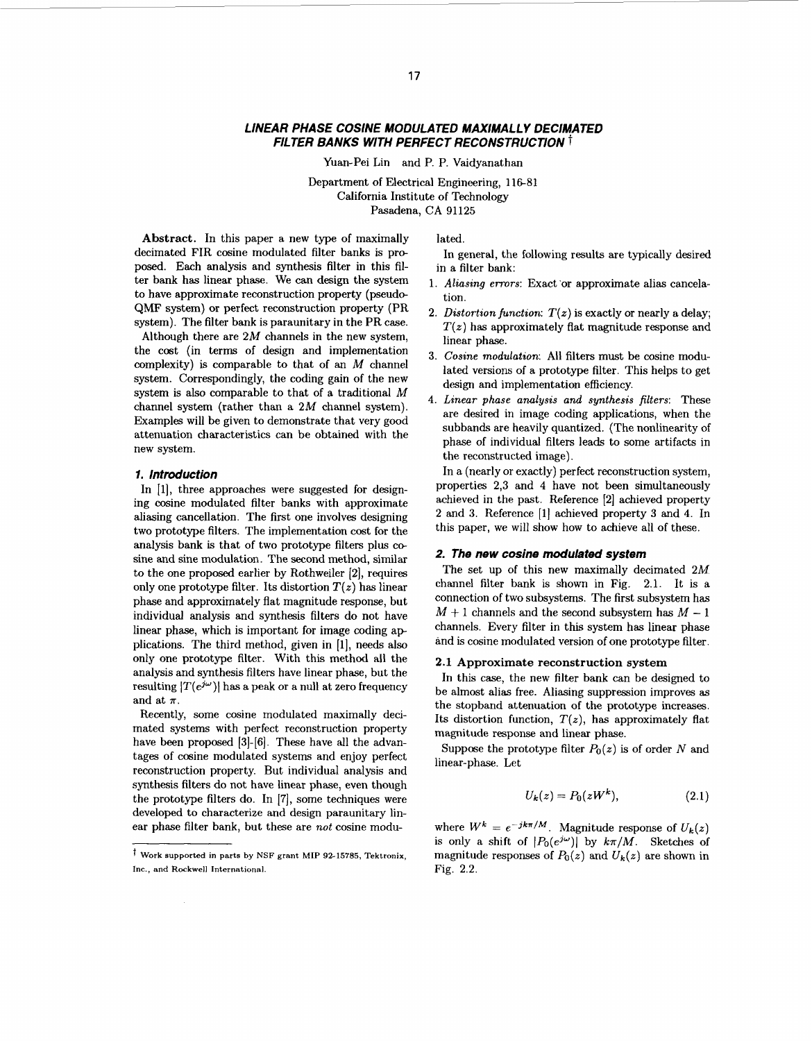## *LINEAR PHASE COSINE MODULATED MAXIMALLY DECIMATED FILTER BANKS WITH PERFECT RECONSTRUCTION* t

Yuan-Pei Lin and P. P. Vaidyanathan

Department of Electrical Engineering, 116-81 California Institute of Technology Pasadena, CA 91125

<span id="page-0-0"></span>**Abstract.** In this paper a new type of maximally decimated FIR cosine modulated filter banks is proposed. Each analysis and synthesis filter in this filter bank has linear phase. We can design the system to have approximate reconstruction property (pseudo-QMF system) or perfect reconstruction property (PR system). The filter bank is paraunitary in the PR case. Although there are  $2M$  channels in the new system, the cost (in terms of design and implementation complexity) is comparable to that of an *M* channel system. Correspondingly, the coding gain of the new system is also comparable to that of a traditional *M*  channel system (rather than a 2M channel system). Examples will be given to demonstrate that very good attenuation characteristics can be obtained with the new system.

### *1. Introduction*

In [1], three approaches were suggested for designing cosine modulated filter banks with approximate aliasing cancellation. The first one involves designing two prototype filters. The implementation cost for the analysis bank is that of two prototype filters plus cosine and sine modulation. The second method, similar to the one proposed earlier by Rothweiler [2], requires only one prototype filter. Its distortion  $T(z)$  has linear phase and approximately flat magnitude response, but individual analysis and synthesis filters do not have linear phase, which is important for image coding ap plications. The third method, given in **[l],** needs also only one prototype filter. With this method all the analysis and synthesis filters have linear phase, but the resulting  $|T(e^{j\omega})|$  has a peak or a null at zero frequency and at  $\pi$ .

Recently, some cosine modulated maximally decimated systems with perfect reconstruction property have been proposed **[3]-[6].** These have all the advantages of cosine modulated systems and enjoy perfect reconstruction property. But individual analysis and synthesis filters do not have linear phase, even though the prototype filters do. In [7], some techniques were developed to characterize and design paraunitary linear phase filter bank, but these are *not* cosine modulated.

in a filter bank: In general, the following results are typically desired

- 1. *Aliasing errors:* Exact 'or approximate alias cancelation.
- 2. *Distortion function:*  $T(z)$  is exactly or nearly a delay;  $T(z)$  has approximately flat magnitude response and linear phase.
- **3.** *Cosine modulation:* All filters must be cosine modulated versions of a prototype filter. This helps to get design and implementation efficiency.
- **4.** *Linear phase analysis and synthesis filters:* These are desired in image coding applications, when the subbands are heavily quantized. (The nonlinearity of phase of individual filters leads to some artifacts in the reconstructed image).

In a (nearly or exactly) perfect reconstruction system, properties 2,3 and **4** have not been simultaneously achieved in the past. Reference [2] achieved property 2 and **3.** Reference **[l]** achieved property **3** and **4.** In this paper, we will show how to achieve all of these.

### *2. The new cosine modulated system*

The set up of this new maximally decimated 2M channel filter bank is shown in [Fig.](#page-3-0) [2.1.](#page-3-0) It is a connection of two subsystems. The first subsystem has  $M + 1$  channels and the second subsystem has  $M - 1$ channels. Every filter in this system has linear phase and is cosine modulated version of one prototype filter.

### **2.1 Approximate reconstruction system**

In this case, the new filter bank can be designed to be almost alias free. Aliasing suppression improves **as**  the stopband attenuation of the prototype increases. Its distortion function,  $T(z)$ , has approximately flat magnitude response and linear phase.

Suppose the prototype filter  $P_0(z)$  is of order *N* and linear-phase. Let

$$
U_k(z) = P_0(zW^k),\tag{2.1}
$$

where  $W^k = e^{-jk\pi/M}$ . Magnitude response of  $U_k(z)$ is only a shift of  $|P_0(e^{j\omega})|$  by  $k\pi/M$ . Sketches of magnitude responses of  $P_0(z)$  and  $U_k(z)$  are shown in Fig. 2.2.

*t* **Work supported in parts by NSF grant MIP 92-15785, Tektronix, Inc., and Rockwell International.**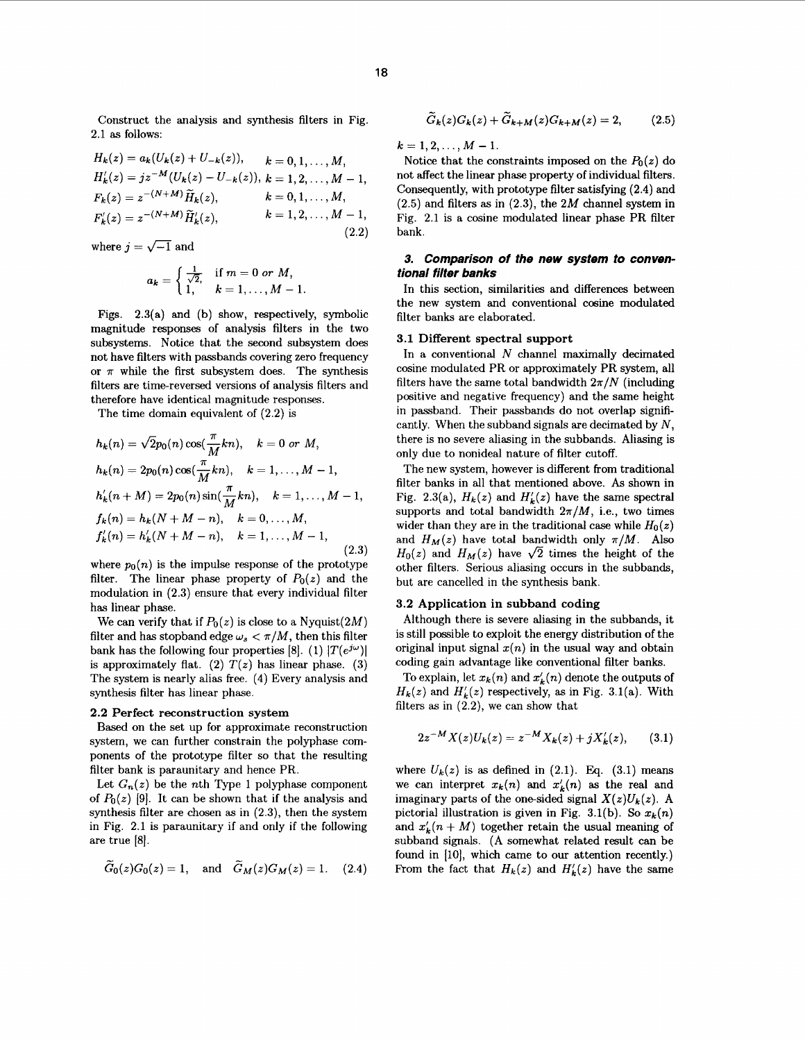Construct the analysis and synthesis filters in Fig. 2.1 as follows:

$$
H_k(z) = a_k(U_k(z) + U_{-k}(z)), \qquad k = 0, 1, ..., M,
$$
  
\n
$$
H'_k(z) = jz^{-M}(U_k(z) - U_{-k}(z)), \qquad k = 1, 2, ..., M - 1,
$$
  
\n
$$
F_k(z) = z^{-(N+M)}\widetilde{H}_k(z), \qquad k = 0, 1, ..., M,
$$
  
\n
$$
F'_k(z) = z^{-(N+M)}\widetilde{H}'_k(z), \qquad k = 1, 2, ..., M - 1,
$$
  
\n(2.2)

where  $j = \sqrt{-1}$  and

$$
a_k = \begin{cases} \frac{1}{\sqrt{2}}, & \text{if } m = 0 \text{ or } M, \\ 1, & k = 1, ..., M - 1. \end{cases}
$$

Figs. 2.3(a) and (b) show, respectively, symbolic magnitude responses of analysis filters in the two subsystems. Notice that the second subsystem does not have filters with passbands covering zero frequency or  $\pi$  while the first subsystem does. The synthesis filters are time-reversed versions of analysis filters and therefore have identical magnitude responses.

The time domain equivalent of (2.2) is

$$
h_k(n) = \sqrt{2}p_0(n)\cos(\frac{\pi}{M}kn), \quad k = 0 \text{ or } M,
$$
  
\n
$$
h_k(n) = 2p_0(n)\cos(\frac{\pi}{M}kn), \quad k = 1, ..., M - 1,
$$
  
\n
$$
h'_k(n + M) = 2p_0(n)\sin(\frac{\pi}{M}kn), \quad k = 1, ..., M - 1,
$$
  
\n
$$
f_k(n) = h_k(N + M - n), \quad k = 0, ..., M,
$$
  
\n
$$
f'_k(n) = h'_k(N + M - n), \quad k = 1, ..., M - 1,
$$
  
\n(2.3)

where  $p_0(n)$  is the impulse response of the prototype filter. The linear phase property of  $P_0(z)$  and the modulation in (2.3) ensure that every individual filter has linear phase.

We can verify that if  $P_0(z)$  is close to a Nyquist(2M) filter and has stopband edge  $\omega_s < \pi/M$ , then this filter bank has the following four properties [8]. (1)  $|T(e^{j\omega})|$ is approximately flat. (2)  $T(z)$  has linear phase. (3) The system is nearly alias free. **(4)** Every analysis and synthesis filter has linear phase.

### **2.2** Perfect reconstruction system

Based on the set up for approximate reconstruction system, we can further constrain the polyphase components of the prototype filter so that the resulting filter bank is paraunitary and hence PR.

Let  $G_n(z)$  be the *n*th Type 1 polyphase component of  $P_0(z)$  [9]. It can be shown that if the analysis and synthesis filter are chosen as in (2.3), then the system in [Fig. 2.1](#page-3-0) is paraunitary if and only if the following are true [8].

$$
\widetilde{G}_0(z)G_0(z)=1, \quad \text{and} \quad \widetilde{G}_M(z)G_M(z)=1. \tag{2.4}
$$

$$
\widetilde{G}_k(z)G_k(z) + \widetilde{G}_{k+M}(z)G_{k+M}(z) = 2, \qquad (2.5)
$$

 $k=1,2, \ldots, M-1.$ 

Notice that the constraints imposed on the  $P_0(z)$  do not affect the linear phase property of individual filters. Consequently, with prototype filter satisfying (2.4) and (2.5) and filters as in (2.3), the *2M* channel system in [Fig.](#page-3-0) [2.1](#page-3-0) is a cosine modulated linear phase PR filter bank.

# *3. Comparison of the new system to conventional filter banks*

In this section, similarities and differences between the new system and conventional cosine modulated filter banks are elaborated.

# **3.1** Different spectral support

In a conventional *N* channel maximally decimated cosine modulated PR or approximately PR system, all filters have the same total bandwidth  $2\pi/N$  (including positive and negative frequency) and the same height in passband. Their passbands do not overlap significantly. When the subband signals are decimated by  $N$ , there is no severe aliasing in the subbands. Aliasing is only due to nonideal nature of filter cutoff.

The new system, however is different from traditional filter banks in all that mentioned above. **As** shown in Fig. 2.3(a),  $H_k(z)$  and  $H'_k(z)$  have the same spectral supports and total bandwidth  $2\pi/M$ , i.e., two times wider than they are in the traditional case while  $H_0(z)$ and  $H_M(z)$  have total bandwidth only  $\pi/M$ . Also  $H_0(z)$  and  $H_M(z)$  have  $\sqrt{2}$  times the height of the other filters. Serious aliasing occurs in the subbands, but are cancelled in the synthesis bank.

#### **3.2** Application in subband coding

Although there is severe aliasing in the subbands, it is still possible to exploit the energy distribution of the original input signal  $x(n)$  in the usual way and obtain coding gain advantage like conventional filter banks.

To explain, let  $x_k(n)$  and  $x'_k(n)$  denote the outputs of  $H_k(z)$  and  $H'_k(z)$  respectively, as in Fig. 3.1(a). With filters **as** in (2.2), we can show that

$$
2z^{-M}X(z)U_k(z) = z^{-M}X_k(z) + jX'_k(z), \qquad (3.1)
$$

where  $U_k(z)$  is as defined in  $(2.1)$ . Eq.  $(3.1)$  means we can interpret  $x_k(n)$  and  $x'_k(n)$  as the real and imaginary parts of the one-sided signal  $X(z)U_k(z)$ . A pictorial illustration is given in Fig. 3.1(b). So  $x_k(n)$ and  $x'_k(n + M)$  together retain the usual meaning of subband signals. (A somewhat related result can be found in [10], which came to our attention recently.) From the fact that  $H_k(z)$  and  $H'_k(z)$  have the same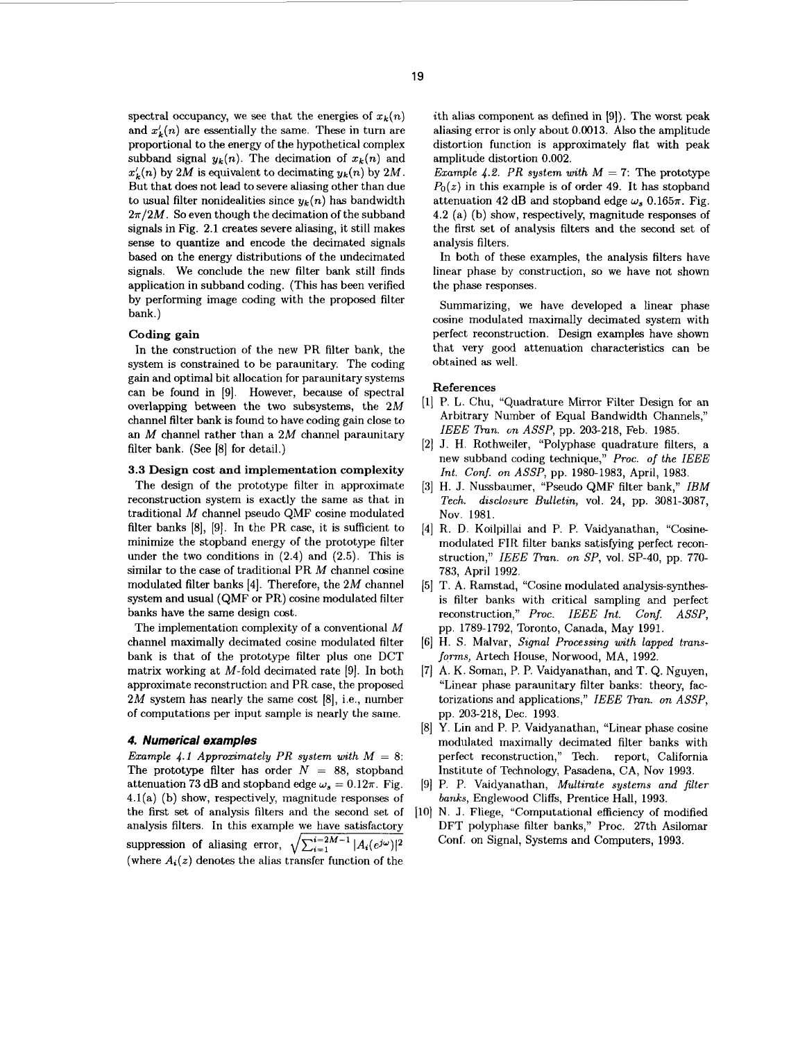spectral occupancy, we see that the energies of  $x_k(n)$ and  $x'_{k}(n)$  are essentially the same. These in turn are proportional to the energy of the hypothetical complex subband signal  $y_k(n)$ . The decimation of  $x_k(n)$  and  $x'_k(n)$  by 2*M* is equivalent to decimating  $y_k(n)$  by 2*M*. But that does not lead to severe aliasing other than due to usual filter nonidealities since  $y_k(n)$  has bandwidth  $2\pi/2M$ . So even though the decimation of the subband signals in [Fig.](#page-3-0) **2.1** creates severe aliasing, it still makes sense to quantize and encode the decimated signals based on the energy distributions of the undecimated signals. We conclude the new filter bank still finds application in subband coding. (This has been verified by performing image coding with the proposed filter bank.)

### Coding gain

In the construction of the new PR filter bank, the system is constrained to be paraunitary. The coding gain and optimal bit allocation for paraunitary systems can be found in **[9].** However, because of spectral overlapping between the two subsystems, the **2M**  channel filter bank is found to have coding gain close to an *M* channel rather than a *2M* channel paraunitary filter bank. (See **[8]** for detail.)

### **3.3** Design cost and implementation complexity

The design of the prototype filter in approximate reconstruction system is exactly the same as that in traditional *M* channel pseudo QMF cosine modulated filter banks **[8], [9].** In the PR case, it is sufficient to minimize the stopband energy of the prototype filter under the two conditions in **(2.4)** and **(2.5).** This is similar to the case of traditional PR *M* channel cosine modulated filter banks **[4].** Therefore, the **2M** channel system and usual (QMF or **PR)** cosine modulated filter banks have the same design cost.

The implementation complexity of a conventional *M*  channel maximally decimated cosine modulated filter bank is that of the prototype filter plus one DCT matrix working at M-fold decimated rate **[9].** In both approximate reconstructior, and PR case, the proposed *2M* system has nearly the same cost **[8],** i.e., number of computations per input sample is nearly the same.

### *4. Numerical examples*

*Example 4.1 Approximately PR system with*  $M = 8$ : The prototype filter has order  $N = 88$ , stopband attenuation 73 dB and stopband edge  $\omega_s = 0.12\pi$ . Fig. **4.l(a)** (b) show, respectively, magnitude responses of the first set of analysis filters and the second set **of**  analysis filters. In this example we have satisfactory suppression of aliasing error,  $\sqrt{\sum_{i=1}^{i=2M-1} |A_i(e^{j\omega})|^2}$ (where  $A_i(z)$  denotes the alias transfer function of the

ith alias component as defined in **[9]).** The worst peak aliasing error is only about **0.0013.** Also the amplitude distortion function is approximately flat with peak amplitude distortion **0.002.** 

*Example 4.2. PR system with*  $M = 7$ : The prototype  $P_0(z)$  in this example is of order 49. It has stopband attenuation 42 dB and stopband edge  $\omega_s$  0.165 $\pi$ . [Fig.](#page-3-0) **[4.2](#page-3-0)** (a) (b) show, respectively, magnitude responses of the first set of analysis filters and the second set of analysis filters.

In both of these examples, the analysis filters have linear phase by construction, *so* we have not shown the phase responses.

Summarizing, we have developed a linear phase cosine modulated maximally decimated system with perfect reconstruction. Design examples have shown that very good attenuation characteristics can be obtained as well.

#### References

- **[l]** P. L. Chu, "Quadrature Mirror Filter Design for an Arbitrary Number of Equal Bandwidth Channels," *IEEE Bun. on ASSP,* pp. **203-218,** Feb. **1985.**
- **[2]** J. H. Rothweiler, "Polyphase quadrature filters, a new subband coding technique," *Proc.* **of** *the IEEE Int. Conf. on ASSP,* pp. **1980-1983,** April, **1983.**
- **[3] H.** J. Nussbaumer, "Pseudo QMF filter bank," *IBM Tech. disclosure Bulletin,* vol. **24,** pp. **3081-3087,**  Nov. **1981.**
- **[4]** R. D. Koilpillai and P. P. Vaidyanathan, "Cosine modulated FIR filter banks satisfying perfect reconstruction," *IEEE Tmn. on SP,* vol. **SP-40,** pp. *770-*  **783,** April **1992.**
- **[5]** T. **A.** Ramstad, "Cosine modulated analysis-synthesis filter banks with critical sampling and perfect reconstruction," *Proc. IEEE Int. Conf. ASSP,*  pp. **1789-1792,** Toronto, Canada, May **1991.**
- **[GI** H. S. Malvar, *Signal Processing with lapped transforms,* Artech House, Norwood, MA, **1992.**
- **[7] A.** K. Soman, P. P. Vaidyanathan, and T. Q. Nguyen, "Linear phase paraunitary filter banks: theory, factorizations and applications," IEEE Tran. on ASSP, pp. **203-218,** Dec. **1993.**
- **[8]** *Y.* Lin and P. P. Vaidyanathan, "Linear phase cosine modulated maximally decimated filter banks with perfect reconstruction,'' Tech. report, California Institute of Technology, Pasadena, CA, Nov **1993.**
- **[9]** P. P. Vaidyanathan, *Multimte systems and filter banks,* Englewood Cliffs, Prentice Hall, **1993.**
- [10] N. J. Fliege, "Computational efficiency of modified DFT polyphase filter banks," Proc. 27th Asilomar Conf. on Signal, Systems and Computers, **1993.**